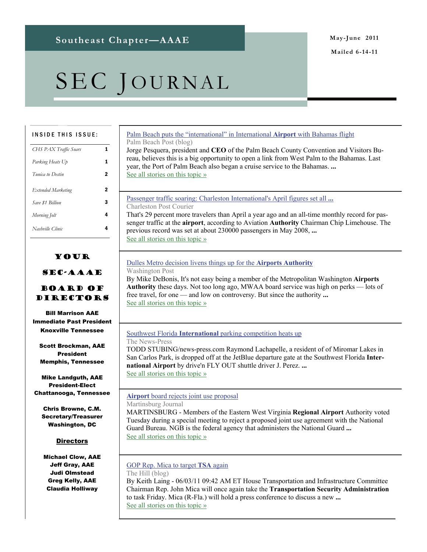# SEC JOURNAL

| <b>INSIDE THIS ISSUE:</b>                 | Palm Beach puts the "international" in International Airport with Bahamas flight<br>Palm Beach Post (blog)                                                                                        |
|-------------------------------------------|---------------------------------------------------------------------------------------------------------------------------------------------------------------------------------------------------|
| CHS PAX Traffic Soars                     | Jorge Pesquera, president and CEO of the Palm Beach County Convention and Visitors Bu-                                                                                                            |
| Parking Heats Up                          | reau, believes this is a big opportunity to open a link from West Palm to the Bahamas. Last<br>year, the Port of Palm Beach also began a cruise service to the Bahamas.                           |
| 2<br>Tunica to Destin                     | See all stories on this topic »                                                                                                                                                                   |
| $\mathbf{2}$<br><b>Extended Marketing</b> |                                                                                                                                                                                                   |
| 3<br>Save \$1 Billion                     | Passenger traffic soaring: Charleston International's April figures set all<br>Charleston Post Courier                                                                                            |
| 4<br>Morning Jolt                         | That's 29 percent more travelers than April a year ago and an all-time monthly record for pas-                                                                                                    |
| 4<br>Nashville Clinic                     | senger traffic at the airport, according to Aviation Authority Chairman Chip Limehouse. The<br>previous record was set at about 230000 passengers in May 2008,<br>See all stories on this topic » |
|                                           |                                                                                                                                                                                                   |

### Your

#### SEC-AAAE

#### Board of Directors

Bill Marrison AAE Immediate Past President Knoxville Tennessee

Scott Brockman, AAE President Memphis, Tennessee

Mike Landguth, AAE President-Elect Chattanooga, Tennessee

Chris Browne, C.M. Secretary/Treasurer Washington, DC

#### **Directors**

Michael Clow, AAE Jeff Gray, AAE Judi Olmstead Greg Kelly, AAE Claudia Holliway

| Dulles Metro decision livens things up for the <b>Airports Authority</b> |  |
|--------------------------------------------------------------------------|--|
|                                                                          |  |

Washington Post

By Mike DeBonis, It's not easy being a member of the Metropolitan Washington **Airports Authority** these days. Not too long ago, MWAA board service was high on perks — lots of free travel, for one — and low on controversy. But since the authority **...** [See all stories on this topic »](http://www.google.com/url?sa=X&q=http://news.google.com/news/story%3Fncl%3Dhttp://www.washingtonpost.com/local/politics/dulles-metro-decision-livens-things-up-for-the-airports-authority/2011/06/02/AGGyxYHH_story.html%26hl%3Den%26geo%3Dus&ct=ga&cad=CAEQARgAIAAoBjAAOABA3Pyg7wRIAVAAWABiAmVu&cd=FGZ6SiUCE5w&usg=AFQjCNFNOmfcwyRLzzze_HxSvz3NCq7RkQ)

#### Southwest Florida **International** [parking competition heats up](http://www.google.com/url?sa=X&q=http://www.news-press.com/article/20110603/BUSINESS/106030383/Southwest-Florida-International-parking-competition-heats-up&ct=ga&cad=CAEQARgAIAAoATAAOABAm5ai7wRIAVAAWABiAmVu&cd=Zs5-6BPDNkk&usg=AFQjCNGhlLmzdVZpEirTl63ahTt3ZTJsCg)

The News-Press

TODD STUBING/news-press.com Raymond Lachapelle, a resident of of Miromar Lakes in San Carlos Park, is dropped off at the JetBlue departure gate at the Southwest Florida **International Airport** by drive'n FLY OUT shuttle driver J. Perez. **...** [See all stories on this topic »](http://www.google.com/url?sa=X&q=http://news.google.com/news/story%3Fncl%3Dhttp://www.news-press.com/article/20110603/BUSINESS/106030383/Southwest-Florida-International-parking-competition-heats-up%26hl%3Den%26geo%3Dus&ct=ga&cad=CAEQARgAIAAoBjAAOABAm5ai7wRIAVAAWABiAmVu&cd=Zs5-6BPDNkk&usg=AFQjCNEQ2_N_umIMA2jf9keiItTxXqyjxw)

#### **Airport** [board rejects joint use proposal](http://www.google.com/url?sa=X&q=http://www.journal-news.net/page/content.detail/id/561954/Airport-board-rejects-joint-use----.html&ct=ga&cad=CAEQARgAIAAoATAAOABA8Nb47gRIAVAAWABiAmVu&cd=feapgQBh4eo&usg=AFQjCNEXmATxgF9vvt6LUyn0YAO4FPIF5A)

Martinsburg Journal

MARTINSBURG - Members of the Eastern West Virginia **Regional Airport** Authority voted Tuesday during a special meeting to reject a proposed joint use agreement with the National Guard Bureau. NGB is the federal agency that administers the National Guard **...** [See all stories on this topic »](http://www.google.com/url?sa=X&q=http://news.google.com/news/story%3Fncl%3Dhttp://www.journal-news.net/page/content.detail/id/561954/Airport-board-rejects-joint-use----.html%26hl%3Den%26geo%3Dus&ct=ga&cad=CAEQARgAIAAoBjAAOABA8Nb47gRIAVAAWABiAmVu&cd=feapgQBh4eo&usg=AFQjCNGztA7kNphBlx-1_q1fxU1lyGkqJw)

#### [GOP Rep. Mica to target](http://www.google.com/url?sa=X&q=http://thehill.com/blogs/transportation-report/tsa/164599-gop-rep-mica-to-target-tsa-again&ct=ga&cad=CAEQARgAIAAoATAAOABA0-Gj7wRIAVAAWABiAmVu&cd=psfWZsjG9Cs&usg=AFQjCNH6CXL6SGBRJcnR6MlkodVjGoYAfg) **TSA** again

The Hill (blog) By Keith Laing - 06/03/11 09:42 AM ET House Transportation and Infrastructure Committee Chairman Rep. John Mica will once again take the **Transportation Security Administration** to task Friday. Mica (R-Fla.) will hold a press conference to discuss a new **...** [See all stories on this topic »](http://www.google.com/url?sa=X&q=http://news.google.com/news/story%3Fncl%3Dhttp://thehill.com/blogs/transportation-report/tsa/164599-gop-rep-mica-to-target-tsa-again%26hl%3Den%26geo%3Dus&ct=ga&cad=CAEQARgAIAAoBjAAOABA0-Gj7wRIAVAAWABiAmVu&cd=psfWZsjG9Cs&usg=AFQjCNEEUaZCh4mmYgEH4H3Q8W2XrgaxpQ)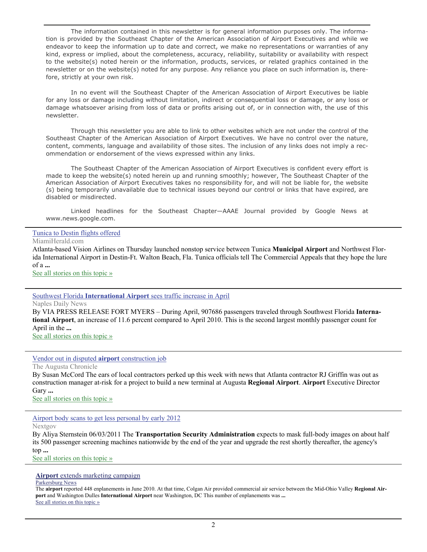The information contained in this newsletter is for general information purposes only. The information is provided by the Southeast Chapter of the American Association of Airport Executives and while we endeavor to keep the information up to date and correct, we make no representations or warranties of any kind, express or implied, about the completeness, accuracy, reliability, suitability or availability with respect to the website(s) noted herein or the information, products, services, or related graphics contained in the newsletter or on the website(s) noted for any purpose. Any reliance you place on such information is, therefore, strictly at your own risk.

 In no event will the Southeast Chapter of the American Association of Airport Executives be liable for any loss or damage including without limitation, indirect or consequential loss or damage, or any loss or damage whatsoever arising from loss of data or profits arising out of, or in connection with, the use of this newsletter.

 Through this newsletter you are able to link to other websites which are not under the control of the Southeast Chapter of the American Association of Airport Executives. We have no control over the nature, content, comments, language and availability of those sites. The inclusion of any links does not imply a recommendation or endorsement of the views expressed within any links.

 The Southeast Chapter of the American Association of Airport Executives is confident every effort is made to keep the website(s) noted herein up and running smoothly; however, The Southeast Chapter of the American Association of Airport Executives takes no responsibility for, and will not be liable for, the website (s) being temporarily unavailable due to technical issues beyond our control or links that have expired, are disabled or misdirected.

 Linked headlines for the Southeast Chapter—AAAE Journal provided by Google News at www.news.google.com.

#### [Tunica to Destin flights offered](http://www.google.com/url?sa=X&q=http://www.miamiherald.com/2011/06/03/2249043/tunica-to-destin-flights-offered.html&ct=ga&cad=CAEQARgAIAAoATAAOABAwdSj7wRIAVAAWABiAmVu&cd=4SZ9CptPsLs&usg=AFQjCNHG8r5VE4phG49DnIDCzvau60edFQ)

MiamiHerald.com

Atlanta-based Vision Airlines on Thursday launched nonstop service between Tunica **Municipal Airport** and Northwest Florida International Airport in Destin-Ft. Walton Beach, Fla. Tunica officials tell The Commercial Appeals that they hope the lure of a **...**

[See all stories on this topic »](http://www.google.com/url?sa=X&q=http://news.google.com/news/story%3Fncl%3Dhttp://www.miamiherald.com/2011/06/03/2249043/tunica-to-destin-flights-offered.html%26hl%3Den%26geo%3Dus&ct=ga&cad=CAEQARgAIAAoBjAAOABAwdSj7wRIAVAAWABiAmVu&cd=4SZ9CptPsLs&usg=AFQjCNE0HmNZPhmYceHJcMgajz3vGXGDyw)

#### Southwest Florida **International Airport** [sees traffic increase in April](http://www.google.com/url?sa=X&q=http://www.naplesnews.com/news/2011/may/19/southwest-florida-international-airport-sees-traff/&ct=ga&cad=CAEQARgAIAAoATACOAJAgtjU7gRIAVAAWABiAmVu&cd=R3-ZX9xEwGI&usg=AFQjCNHqcfcjXU4mVFLj35yHnnYDL2ZoWw)

Naples Daily News

By VIA PRESS RELEASE FORT MYERS – During April, 907686 passengers traveled through Southwest Florida **International Airport**, an increase of 11.6 percent compared to April 2010. This is the second largest monthly passenger count for April in the **...**

[See all stories on this topic »](http://www.google.com/url?sa=X&q=http://news.google.com/news/story%3Fncl%3Dhttp://www.naplesnews.com/news/2011/may/19/southwest-florida-international-airport-sees-traff/%26hl%3Den%26geo%3Dus&ct=ga&cad=CAEQARgAIAAoBjACOAJAgtjU7gRIAVAAWABiAmVu&cd=R3-ZX9xEwGI&usg=AFQjCNEN2hMxsHowq5T02EyozuBIgbgJRw)

#### [Vendor out in disputed](http://www.google.com/url?sa=X&q=http://chronicle.augusta.com/latest-news/2011-06-03/vendor-out-disputed-airport-construction-job%3Fv%3D1307115322&ct=ga&cad=CAEQARgAIAAoATABOAFA74Sl7wRIAVAAWABiAmVu&cd=z9kFPA23Ccg&usg=AFQjCNHiGmYfFUaTuQ5S4OAviXjAaFpozQ) **airport** construction job

The Augusta Chronicle

By Susan McCord The ears of local contractors perked up this week with news that Atlanta contractor RJ Griffin was out as construction manager at-risk for a project to build a new terminal at Augusta **Regional Airport**. **Airport** Executive Director Gary **...**

[See all stories on this topic »](http://www.google.com/url?sa=X&q=http://news.google.com/news/story%3Fncl%3Dhttp://chronicle.augusta.com/latest-news/2011-06-03/vendor-out-disputed-airport-construction-job%253Fv%253D1307115322%26hl%3Den%26geo%3Dus&ct=ga&cad=CAEQARgAIAAoBjABOAFA74Sl7wRIAVAAWABiAmVu&cd=z9kFPA23Ccg&usg=AFQjCNHJmHsok8_pXNHLWImnbBU8-Voqsw)

[Airport body scans to get less personal by early 2012](http://www.google.com/url?sa=X&q=http://www.nextgov.com/nextgov/ng_20110603_9315.php%3Foref%3Dtopstory&ct=ga&cad=CAEQARgAIAAoATAAOABAkJOl7wRIAVAAWABiAmVu&cd=6XPapkkhLVw&usg=AFQjCNGiFjL2fTUGYbfar-nS_uqGJ23pWg)

Nextgov

By Aliya Sternstein 06/03/2011 The **Transportation Security Administration** expects to mask full-body images on about half its 500 passenger screening machines nationwide by the end of the year and upgrade the rest shortly thereafter, the agency's top **...**

[See all stories on this topic »](http://www.google.com/url?sa=X&q=http://news.google.com/news/story%3Fncl%3Dhttp://www.nextgov.com/nextgov/ng_20110603_9315.php%253Foref%253Dtopstory%26hl%3Den%26geo%3Dus&ct=ga&cad=CAEQARgAIAAoBjAAOABAkJOl7wRIAVAAWABiAmVu&cd=6XPapkkhLVw&usg=AFQjCNG6_3cdf9JAGnXCmj0ee_h8coOctg)

#### **Airport** [extends marketing campaign](http://www.google.com/url?sa=X&q=http://www.newsandsentinel.com/page/content.detail/id/548650/Airport-extends-marketing--campaign.html%3Fnav%3D5061&ct=ga&cad=CAEQARgAIAAoATAAOABA9Ieo7wRIAVAAWABiAmVu&cd=EwDzt0CKrRM&usg=AFQjCNEfQiq8BvzNyTVJy95XVgA0vim5eg)

Parkersburg News

The **airport** reported 448 enplanements in June 2010. At that time, Colgan Air provided commercial air service between the Mid-Ohio Valley **Regional Airport** and Washington Dulles **International Airport** near Washington, DC This number of enplanements was **...** [See all stories on this topic »](http://www.google.com/url?sa=X&q=http://news.google.com/news/story%3Fncl%3Dhttp://www.newsandsentinel.com/page/content.detail/id/548650/Airport-extends-marketing--campaign.html%253Fnav%253D5061%26hl%3Den%26geo%3Dus&ct=ga&cad=CAEQARgAIAAoBjAAOABA9Ieo7wRIAVAAWABiAmVu&cd=EwDzt0CKrRM&usg=AFQjCNElQrN09Ku_bbGXdJa-eHr5FNqjDQ)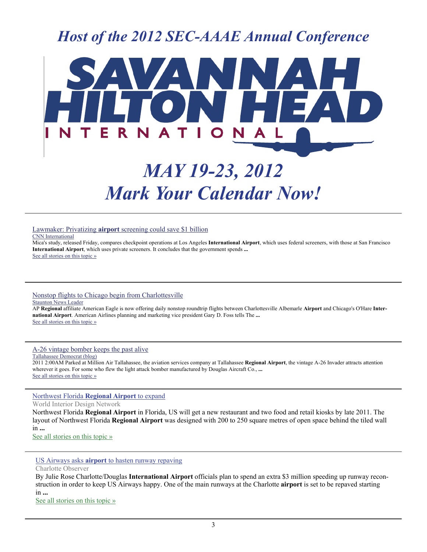### *Host of the 2012 SEC-AAAE Annual Conference*



## *MAY 19-23, 2012 Mark Your Calendar Now!*

Lawmaker: Privatizing **airport** [screening could save \\$1 billion](http://www.google.com/url?sa=X&q=http://www.cnn.com/2011/POLITICS/06/03/mica.airport.screeners/&ct=ga&cad=CAEQARgAIAAoATAAOABAg7il7wRIAVAAWABiAmVu&cd=MJFrqCyVQbU&usg=AFQjCNGW1fdPvEmjM0xvf-DSPlJKbFuhoQ)

CNN International

Mica's study, released Friday, compares checkpoint operations at Los Angeles **International Airport**, which uses federal screeners, with those at San Francisco **International Airport**, which uses private screeners. It concludes that the government spends **...** [See all stories on this topic »](http://www.google.com/url?sa=X&q=http://news.google.com/news/story%3Fncl%3Dhttp://www.cnn.com/2011/POLITICS/06/03/mica.airport.screeners/%26hl%3Den%26geo%3Dus&ct=ga&cad=CAEQARgAIAAoBjAAOABAg7il7wRIAVAAWABiAmVu&cd=MJFrqCyVQbU&usg=AFQjCNHG6uhrywI1u8OFUDmqOFZYhD2kHQ)

#### [Nonstop flights to Chicago begin from Charlottesville](http://www.google.com/url?sa=X&q=http://www.newsleader.com/article/20110611/NEWS01/106110323/Nonstop-flights-Chicago-begin-from-Charlottesville&ct=ga&cad=CAEQARgAIAAoATABOAFArKPM7wRIAVAAWABiAmVu&cd=q4Ewd7RGkjY&usg=AFQjCNF4yWSA_Tzs3o633GSWoKPvNB_0yQ) **Staunton News Leader**

AP **Regional** affiliate American Eagle is now offering daily nonstop roundtrip flights between Charlottesville Albemarle **Airport** and Chicago's O'Hare **International Airport**. American Airlines planning and marketing vice president Gary D. Foss tells The **...** [See all stories on this topic »](http://www.google.com/url?sa=X&q=http://news.google.com/news/story%3Fncl%3Dhttp://www.newsleader.com/article/20110611/NEWS01/106110323/Nonstop-flights-Chicago-begin-from-Charlottesville%26hl%3Den%26geo%3Dus&ct=ga&cad=CAEQARgAIAAoBjABOAFArKPM7wRIAVAAWABiAmVu&cd=q4Ewd7RGkjY&usg=AFQjCNEc8Cvm2THl0JDY3BWjawyC8BhPUA)

[A-26 vintage bomber keeps the past alive](http://www.google.com/url?sa=X&q=http://www.tallahassee.com/article/20110604/BUSINESS/106040327/A-26-vintage-bomber-keeps-the-past-alive&ct=ga&cad=CAEQARgAIAAoATAAOABAp6en7wRIAVAAWABiAmVu&cd=BRVHMam32y8&usg=AFQjCNF7ud6ntkBGSJet14RBM9kVnCmvfg)

Tallahassee Democrat (blog)

2011 2:00AM Parked at Million Air Tallahassee, the aviation services company at Tallahassee **Regional Airport**, the vintage A-26 Invader attracts attention wherever it goes. For some who flew the light attack bomber manufactured by Douglas Aircraft Co., **...** [See all stories on this topic »](http://www.google.com/url?sa=X&q=http://news.google.com/news/story%3Fncl%3Dhttp://www.tallahassee.com/article/20110604/BUSINESS/106040327/A-26-vintage-bomber-keeps-the-past-alive%26hl%3Den%26geo%3Dus&ct=ga&cad=CAEQARgAIAAoBjAAOABAp6en7wRIAVAAWABiAmVu&cd=BRVHMam32y8&usg=AFQjCNHR7x2h1MEF4J89AA36-iEpgjnhmw)

#### [Northwest Florida](http://www.google.com/url?sa=X&q=http://www.worldinteriordesignnetwork.com/news/northwest_florida_regional_airport_to_expand_110606/&ct=ga&cad=CAEQARgAIAAoATAAOABA152y7wRIAVAAWABiAmVu&cd=8BtVy0ZosXQ&usg=AFQjCNEHAYr4jAY9B_lTadXrmXWRbyZ18g) **Regional Airport** to expand

#### World Interior Design Network

Northwest Florida **Regional Airport** in Florida, US will get a new restaurant and two food and retail kiosks by late 2011. The layout of Northwest Florida **Regional Airport** was designed with 200 to 250 square metres of open space behind the tiled wall in **...**

[See all stories on this topic »](http://www.google.com/url?sa=X&q=http://news.google.com/news/story%3Fncl%3Dhttp://www.worldinteriordesignnetwork.com/news/northwest_florida_regional_airport_to_expand_110606/%26hl%3Den%26geo%3Dus&ct=ga&cad=CAEQARgAIAAoBjAAOABA152y7wRIAVAAWABiAmVu&cd=8BtVy0ZosXQ&usg=AFQjCNF1t26TobYlw2bZSB8lKmnFrZ_GKQ)

#### US Airways asks **airport** [to hasten runway repaving](http://www.google.com/url?sa=X&q=http://www.charlotteobserver.com/2011/06/06/2354389/us-airways-asks-airport-to-hasten.html&ct=ga&cad=CAEQARgAIAAoATABOAFA79yx7wRIAVAAWABiAmVu&cd=-mbEOTO4Nfc&usg=AFQjCNFcXIeLtoe2ckGrfQYZiX__SbmOhQ)

Charlotte Observer

By Julie Rose Charlotte/Douglas **International Airport** officials plan to spend an extra \$3 million speeding up runway reconstruction in order to keep US Airways happy. One of the main runways at the Charlotte **airport** is set to be repaved starting in **...**

[See all stories on this topic »](http://www.google.com/url?sa=X&q=http://news.google.com/news/story%3Fncl%3Dhttp://www.charlotteobserver.com/2011/06/06/2354389/us-airways-asks-airport-to-hasten.html%26hl%3Den%26geo%3Dus&ct=ga&cad=CAEQARgAIAAoBjABOAFA79yx7wRIAVAAWABiAmVu&cd=-mbEOTO4Nfc&usg=AFQjCNEug-mvqY3rQahPJoxelgSAroJknw)